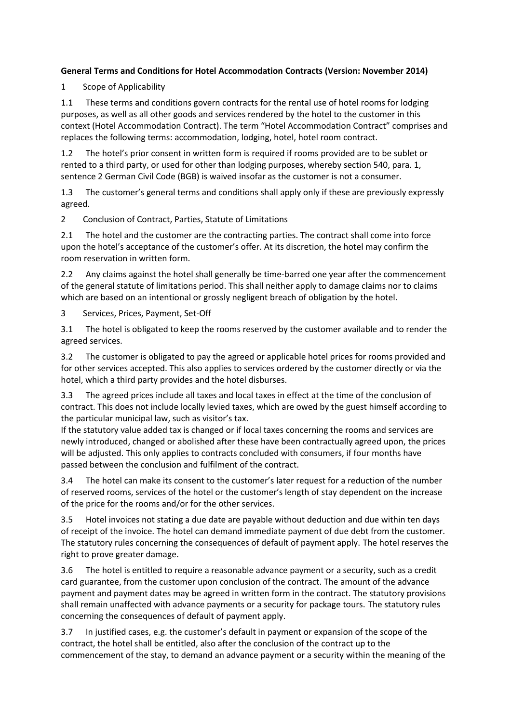## **General Terms and Conditions for Hotel Accommodation Contracts (Version: November 2014)**

1 Scope of Applicability

1.1 These terms and conditions govern contracts for the rental use of hotel rooms for lodging purposes, as well as all other goods and services rendered by the hotel to the customer in this context (Hotel Accommodation Contract). The term "Hotel Accommodation Contract" comprises and replaces the following terms: accommodation, lodging, hotel, hotel room contract.

1.2 The hotel's prior consent in written form is required if rooms provided are to be sublet or rented to a third party, or used for other than lodging purposes, whereby section 540, para. 1, sentence 2 German Civil Code (BGB) is waived insofar as the customer is not a consumer.

1.3 The customer's general terms and conditions shall apply only if these are previously expressly agreed.

2 Conclusion of Contract, Parties, Statute of Limitations

2.1 The hotel and the customer are the contracting parties. The contract shall come into force upon the hotel's acceptance of the customer's offer. At its discretion, the hotel may confirm the room reservation in written form.

2.2 Any claims against the hotel shall generally be time-barred one year after the commencement of the general statute of limitations period. This shall neither apply to damage claims nor to claims which are based on an intentional or grossly negligent breach of obligation by the hotel.

3 Services, Prices, Payment, Set-Off

3.1 The hotel is obligated to keep the rooms reserved by the customer available and to render the agreed services.

3.2 The customer is obligated to pay the agreed or applicable hotel prices for rooms provided and for other services accepted. This also applies to services ordered by the customer directly or via the hotel, which a third party provides and the hotel disburses.

3.3 The agreed prices include all taxes and local taxes in effect at the time of the conclusion of contract. This does not include locally levied taxes, which are owed by the guest himself according to the particular municipal law, such as visitor's tax.

If the statutory value added tax is changed or if local taxes concerning the rooms and services are newly introduced, changed or abolished after these have been contractually agreed upon, the prices will be adjusted. This only applies to contracts concluded with consumers, if four months have passed between the conclusion and fulfilment of the contract.

3.4 The hotel can make its consent to the customer's later request for a reduction of the number of reserved rooms, services of the hotel or the customer's length of stay dependent on the increase of the price for the rooms and/or for the other services.

3.5 Hotel invoices not stating a due date are payable without deduction and due within ten days of receipt of the invoice. The hotel can demand immediate payment of due debt from the customer. The statutory rules concerning the consequences of default of payment apply. The hotel reserves the right to prove greater damage.

3.6 The hotel is entitled to require a reasonable advance payment or a security, such as a credit card guarantee, from the customer upon conclusion of the contract. The amount of the advance payment and payment dates may be agreed in written form in the contract. The statutory provisions shall remain unaffected with advance payments or a security for package tours. The statutory rules concerning the consequences of default of payment apply.

3.7 In justified cases, e.g. the customer's default in payment or expansion of the scope of the contract, the hotel shall be entitled, also after the conclusion of the contract up to the commencement of the stay, to demand an advance payment or a security within the meaning of the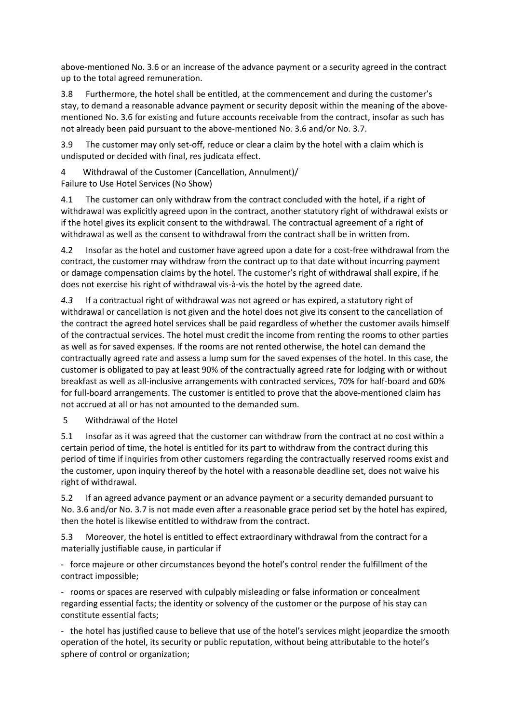above-mentioned No. 3.6 or an increase of the advance payment or a security agreed in the contract up to the total agreed remuneration.

3.8 Furthermore, the hotel shall be entitled, at the commencement and during the customer's stay, to demand a reasonable advance payment or security deposit within the meaning of the abovementioned No. 3.6 for existing and future accounts receivable from the contract, insofar as such has not already been paid pursuant to the above-mentioned No. 3.6 and/or No. 3.7.

3.9 The customer may only set-off, reduce or clear a claim by the hotel with a claim which is undisputed or decided with final, res judicata effect.

4 Withdrawal of the Customer (Cancellation, Annulment)/ Failure to Use Hotel Services (No Show)

4.1 The customer can only withdraw from the contract concluded with the hotel, if a right of withdrawal was explicitly agreed upon in the contract, another statutory right of withdrawal exists or if the hotel gives its explicit consent to the withdrawal. The contractual agreement of a right of withdrawal as well as the consent to withdrawal from the contract shall be in written from.

4.2 Insofar as the hotel and customer have agreed upon a date for a cost-free withdrawal from the contract, the customer may withdraw from the contract up to that date without incurring payment or damage compensation claims by the hotel. The customer's right of withdrawal shall expire, if he does not exercise his right of withdrawal vis-à-vis the hotel by the agreed date.

*4.3* If a contractual right of withdrawal was not agreed or has expired, a statutory right of withdrawal or cancellation is not given and the hotel does not give its consent to the cancellation of the contract the agreed hotel services shall be paid regardless of whether the customer avails himself of the contractual services. The hotel must credit the income from renting the rooms to other parties as well as for saved expenses. If the rooms are not rented otherwise, the hotel can demand the contractually agreed rate and assess a lump sum for the saved expenses of the hotel. In this case, the customer is obligated to pay at least 90% of the contractually agreed rate for lodging with or without breakfast as well as all-inclusive arrangements with contracted services, 70% for half-board and 60% for full-board arrangements. The customer is entitled to prove that the above-mentioned claim has not accrued at all or has not amounted to the demanded sum.

5 Withdrawal of the Hotel

5.1 Insofar as it was agreed that the customer can withdraw from the contract at no cost within a certain period of time, the hotel is entitled for its part to withdraw from the contract during this period of time if inquiries from other customers regarding the contractually reserved rooms exist and the customer, upon inquiry thereof by the hotel with a reasonable deadline set, does not waive his right of withdrawal.

5.2 If an agreed advance payment or an advance payment or a security demanded pursuant to No. 3.6 and/or No. 3.7 is not made even after a reasonable grace period set by the hotel has expired, then the hotel is likewise entitled to withdraw from the contract.

5.3 Moreover, the hotel is entitled to effect extraordinary withdrawal from the contract for a materially justifiable cause, in particular if

- force majeure or other circumstances beyond the hotel's control render the fulfillment of the contract impossible;

- rooms or spaces are reserved with culpably misleading or false information or concealment regarding essential facts; the identity or solvency of the customer or the purpose of his stay can constitute essential facts;

- the hotel has justified cause to believe that use of the hotel's services might jeopardize the smooth operation of the hotel, its security or public reputation, without being attributable to the hotel's sphere of control or organization;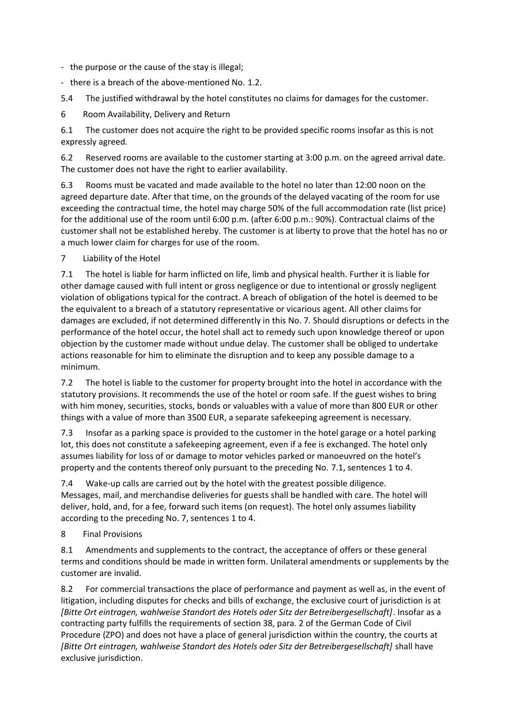- the purpose or the cause of the stay is illegal;

- there is a breach of the above-mentioned No. 1.2.

5.4 The justified withdrawal by the hotel constitutes no claims for damages for the customer.

6 Room Availability, Delivery and Return

6.1 The customer does not acquire the right to be provided specific rooms insofar as this is not expressly agreed.

6.2 Reserved rooms are available to the customer starting at 3:00 p.m. on the agreed arrival date. The customer does not have the right to earlier availability.

6.3 Rooms must be vacated and made available to the hotel no later than 12:00 noon on the agreed departure date. After that time, on the grounds of the delayed vacating of the room for use exceeding the contractual time, the hotel may charge 50% of the full accommodation rate (list price) for the additional use of the room until 6:00 p.m. (after 6:00 p.m.: 90%). Contractual claims of the customer shall not be established hereby. The customer is at liberty to prove that the hotel has no or a much lower claim for charges for use of the room.

7 Liability of the Hotel

7.1 The hotel is liable for harm inflicted on life, limb and physical health. Further it is liable for other damage caused with full intent or gross negligence or due to intentional or grossly negligent violation of obligations typical for the contract. A breach of obligation of the hotel is deemed to be the equivalent to a breach of a statutory representative or vicarious agent. All other claims for damages are excluded, if not determined differently in this No. 7. Should disruptions or defects in the performance of the hotel occur, the hotel shall act to remedy such upon knowledge thereof or upon objection by the customer made without undue delay. The customer shall be obliged to undertake actions reasonable for him to eliminate the disruption and to keep any possible damage to a minimum.

7.2 The hotel is liable to the customer for property brought into the hotel in accordance with the statutory provisions. It recommends the use of the hotel or room safe. If the guest wishes to bring with him money, securities, stocks, bonds or valuables with a value of more than 800 EUR or other things with a value of more than 3500 EUR, a separate safekeeping agreement is necessary.

7.3 Insofar as a parking space is provided to the customer in the hotel garage or a hotel parking lot, this does not constitute a safekeeping agreement, even if a fee is exchanged. The hotel only assumes liability for loss of or damage to motor vehicles parked or manoeuvred on the hotel's property and the contents thereof only pursuant to the preceding No. 7.1, sentences 1 to 4.

7.4 Wake-up calls are carried out by the hotel with the greatest possible diligence. Messages, mail, and merchandise deliveries for guests shall be handled with care. The hotel will deliver, hold, and, for a fee, forward such items (on request). The hotel only assumes liability according to the preceding No. 7, sentences 1 to 4.

8 Final Provisions

8.1 Amendments and supplements to the contract, the acceptance of offers or these general terms and conditions should be made in written form. Unilateral amendments or supplements by the customer are invalid.

8.2 For commercial transactions the place of performance and payment as well as, in the event of litigation, including disputes for checks and bills of exchange, the exclusive court of jurisdiction is at *[Bitte Ort eintragen, wahlweise Standort des Hotels oder Sitz der Betreibergesellschaft]*. Insofar as a contracting party fulfills the requirements of section 38, para. 2 of the German Code of Civil Procedure (ZPO) and does not have a place of general jurisdiction within the country, the courts at *[Bitte Ort eintragen, wahlweise Standort des Hotels oder Sitz der Betreibergesellschaft]* shall have exclusive jurisdiction.